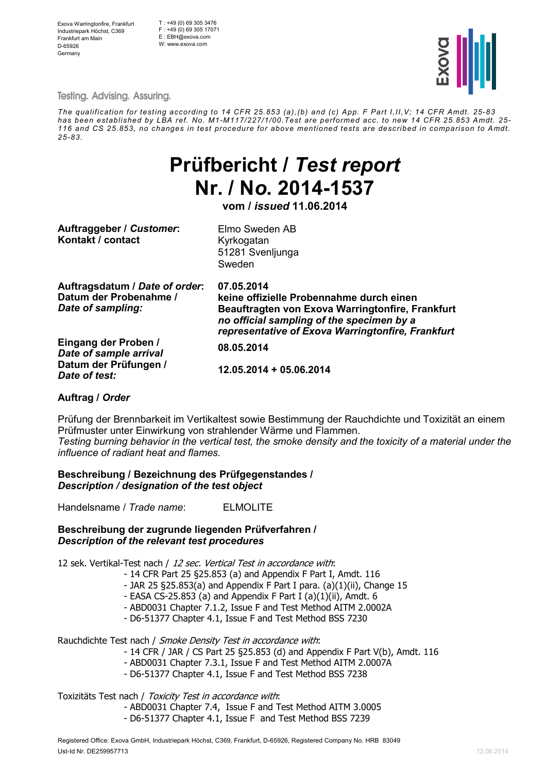Exova Warringtonfire, Frankfurt Industriepark Höchst, C369 Frankfurt am Main D-65926 **Germany** 

T : +49 (0) 69 305 3476 F : +49 (0) 69 305 17071 E : EBH@exova.com W: www.exova.com



**Testing. Advising. Assuring.** 

*The qualification for testing according to 14 CFR 25.853 (a),(b) and (c) App. F Part I,II,V; 14 CFR Amdt. 25-83 has been established by LBA ref. No. M1-M117/227/1/00.Test are performed acc. to new 14 CFR 25.853 Amdt. 25- 116 and CS 25.853, no changes in test procedure for above mentioned tests are described in comparison to Amdt. 25-83.*

# Prüfbericht / Test report Nr. / No. 2014-1537

vom / issued 11.06.2014

Auftraggeber / Customer: Elmo Sweden AB Kontakt / contact Kyrkogatan

51281 Svenljunga Sweden

| Auftragsdatum / Date of order:<br>Datum der Probenahme /<br>Date of sampling: | 07.05.2014<br>keine offizielle Probennahme durch einen<br>Beauftragten von Exova Warringtonfire, Frankfurt<br>no official sampling of the specimen by a<br>representative of Exova Warringtonfire, Frankfurt |  |  |  |
|-------------------------------------------------------------------------------|--------------------------------------------------------------------------------------------------------------------------------------------------------------------------------------------------------------|--|--|--|
| Eingang der Proben /<br>Date of sample arrival                                | 08.05.2014                                                                                                                                                                                                   |  |  |  |
| Datum der Prüfungen /<br>Date of test:                                        | 12.05.2014 + 05.06.2014                                                                                                                                                                                      |  |  |  |

#### Auftrag / Order

Prüfung der Brennbarkeit im Vertikaltest sowie Bestimmung der Rauchdichte und Toxizität an einem Prüfmuster unter Einwirkung von strahlender Wärme und Flammen. *Testing burning behavior in the vertical test, the smoke density and the toxicity of a material under the influence of radiant heat and flames.* 

Beschreibung / Bezeichnung des Prüfgegenstandes / Description / designation of the test object

Handelsname / *Trade name*: ELMOLITE

#### Beschreibung der zugrunde liegenden Prüfverfahren / Description of the relevant test procedures

12 sek. Vertikal-Test nach / 12 sec. Vertical Test in accordance with:

- 14 CFR Part 25 §25.853 (a) and Appendix F Part I, Amdt. 116
- JAR 25 §25.853(a) and Appendix F Part I para. (a) $(1)(ii)$ , Change 15
- EASA CS-25.853 (a) and Appendix F Part I (a)(1)(ii), Amdt. 6
- ABD0031 Chapter 7.1.2, Issue F and Test Method AITM 2.0002A
- D6-51377 Chapter 4.1, Issue F and Test Method BSS 7230

Rauchdichte Test nach / Smoke Density Test in accordance with:

- 14 CFR / JAR / CS Part 25 §25.853 (d) and Appendix F Part V(b), Amdt. 116
- ABD0031 Chapter 7.3.1, Issue F and Test Method AITM 2.0007A
- D6-51377 Chapter 4.1, Issue F and Test Method BSS 7238

Toxizitäts Test nach / Toxicity Test in accordance with:

- ABD0031 Chapter 7.4, Issue F and Test Method AITM 3.0005
- D6-51377 Chapter 4.1, Issue F and Test Method BSS 7239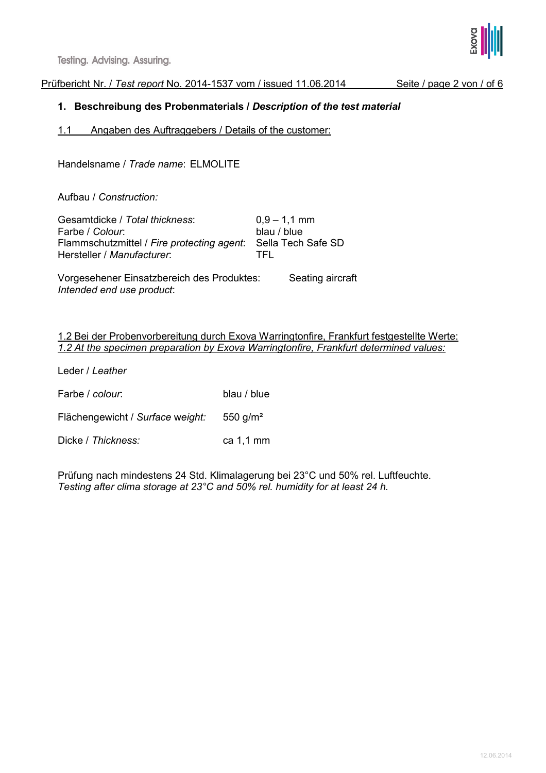**Testing. Advising. Assuring.** 

Prüfbericht Nr. / *Test report* No. 2014-1537 vom / issued 11.06.2014 Seite / page 2 von / of 6

1. Beschreibung des Probenmaterials / Description of the test material

1.1 Angaben des Auftraggebers / Details of the customer:

Handelsname / *Trade name*: ELMOLITE

Aufbau / *Construction:*

Gesamtdicke / *Total thickness*: 0,9 – 1,1 mm Farbe / *Colour*: blau / blue Flammschutzmittel / *Fire protecting agent*: Sella Tech Safe SD Hersteller / *Manufacturer*: TFL

Vorgesehener Einsatzbereich des Produktes: Seating aircraft *Intended end use product*:

1.2 Bei der Probenvorbereitung durch Exova Warringtonfire, Frankfurt festgestellte Werte: *1.2 At the specimen preparation by Exova Warringtonfire, Frankfurt determined values:*

Leder / *Leather*

Farbe / *colour*: blau / blue

Flächengewicht / *Surface* w*eight:* 550 g/m²

Dicke / Thickness: ca 1.1 mm

Prüfung nach mindestens 24 Std. Klimalagerung bei 23°C und 50% rel. Luftfeuchte. *Testing after clima storage at 23°C and 50% rel. humidity for at least 24 h.* 

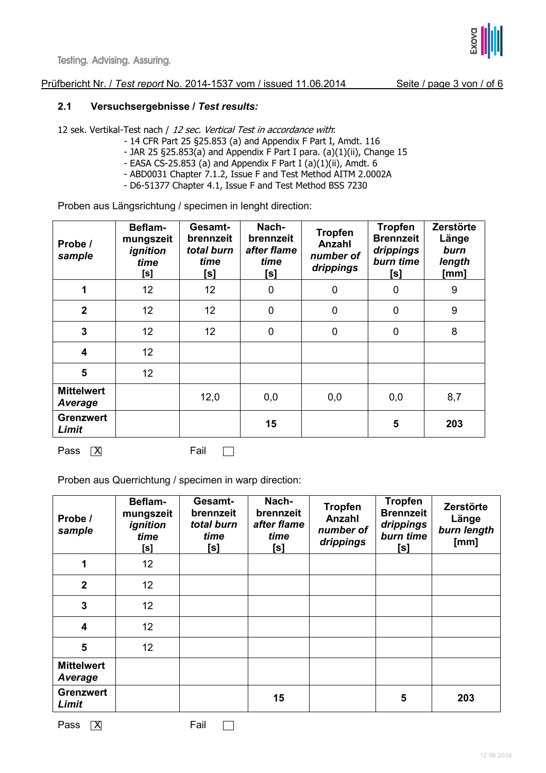

## Prüfbericht Nr. / *Test report* No. 2014-1537 vom / issued 11.06.2014 Seite / page 3 von / of 6

# 2.1 Versuchsergebnisse / Test results:

12 sek. Vertikal-Test nach / 12 sec. Vertical Test in accordance with:

- 14 CFR Part 25 §25.853 (a) and Appendix F Part I, Amdt. 116
- JAR 25 §25.853(a) and Appendix F Part I para. (a)(1)(ii), Change 15
- EASA CS-25.853 (a) and Appendix F Part I (a)(1)(ii), Amdt. 6
- ABD0031 Chapter 7.1.2, Issue F and Test Method AITM 2.0002A
- D6-51377 Chapter 4.1, Issue F and Test Method BSS 7230

Proben aus Längsrichtung / specimen in lenght direction:

| Probe /<br>sample            | Beflam-<br>mungszeit<br>ignition<br>time<br>[s] | Gesamt-<br>brennzeit<br>total burn<br>time<br>[s] | Nach-<br>brennzeit<br>after flame<br>time<br>[s] | <b>Tropfen</b><br>Anzahl<br>number of<br>drippings | <b>Tropfen</b><br><b>Brennzeit</b><br>drippings<br>burn time<br>[s] | Zerstörte<br>Länge<br>burn<br>length<br>[mm] |
|------------------------------|-------------------------------------------------|---------------------------------------------------|--------------------------------------------------|----------------------------------------------------|---------------------------------------------------------------------|----------------------------------------------|
| 1                            | 12                                              | 12 <sub>2</sub>                                   | $\mathbf 0$                                      | $\mathbf 0$                                        | 0                                                                   | 9                                            |
| $\overline{2}$               | 12                                              | 12 <sub>2</sub>                                   | $\mathbf 0$                                      | $\mathbf 0$                                        | $\mathbf 0$                                                         | 9                                            |
| $\overline{3}$               | 12                                              | 12 <sub>2</sub>                                   | $\mathbf 0$                                      | $\mathbf 0$                                        | $\overline{0}$                                                      | 8                                            |
| $\overline{\mathbf{4}}$      | 12                                              |                                                   |                                                  |                                                    |                                                                     |                                              |
| 5                            | 12                                              |                                                   |                                                  |                                                    |                                                                     |                                              |
| <b>Mittelwert</b><br>Average |                                                 | 12,0                                              | 0,0                                              | 0,0                                                | 0,0                                                                 | 8,7                                          |
| <b>Grenzwert</b><br>Limit    |                                                 |                                                   | 15                                               |                                                    | 5                                                                   | 203                                          |

Pass  $\boxed{X}$  Fail  $\boxed{ \square}$ 

Proben aus Querrichtung / specimen in warp direction:

| Beflam-<br>mungszeit<br>ignition<br>time<br>[s] | Gesamt-<br>brennzeit<br>total burn<br>time<br>[s] | Nach-<br>brennzeit<br>after flame<br>time<br>[s] | <b>Tropfen</b><br>Anzahl<br>number of<br>drippings | <b>Tropfen</b><br><b>Brennzeit</b><br>drippings<br>burn time<br>[s] | Zerstörte<br>Länge<br>burn length<br>[mm] |
|-------------------------------------------------|---------------------------------------------------|--------------------------------------------------|----------------------------------------------------|---------------------------------------------------------------------|-------------------------------------------|
| 12                                              |                                                   |                                                  |                                                    |                                                                     |                                           |
| 12                                              |                                                   |                                                  |                                                    |                                                                     |                                           |
| 12                                              |                                                   |                                                  |                                                    |                                                                     |                                           |
| 12 <sup>2</sup>                                 |                                                   |                                                  |                                                    |                                                                     |                                           |
| 12 <sub>2</sub>                                 |                                                   |                                                  |                                                    |                                                                     |                                           |
|                                                 |                                                   |                                                  |                                                    |                                                                     |                                           |
|                                                 |                                                   | 15                                               |                                                    | 5                                                                   | 203                                       |
|                                                 |                                                   |                                                  |                                                    |                                                                     |                                           |



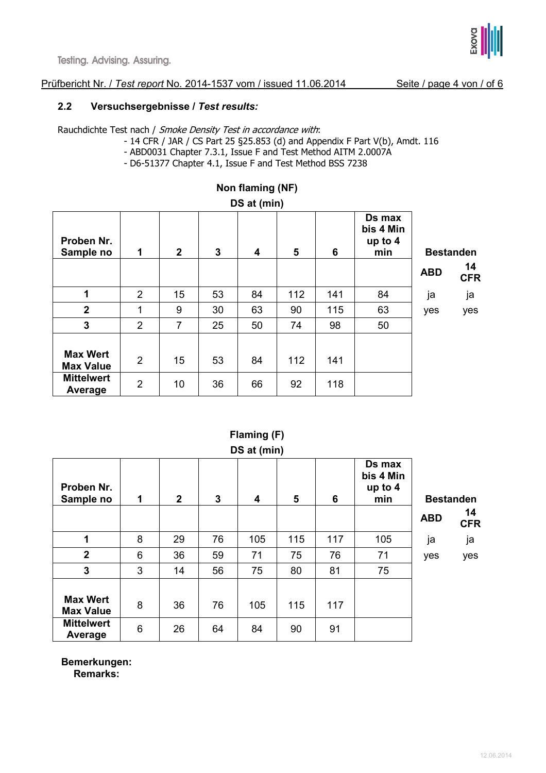

### Prüfbericht Nr. / *Test report* No. 2014-1537 vom / issued 11.06.2014 Seite / page 4 von / of 6

#### 2.2 Versuchsergebnisse / Test results:

Rauchdichte Test nach / Smoke Density Test in accordance with:

- 14 CFR / JAR / CS Part 25 §25.853 (d) and Appendix F Part V(b), Amdt. 116
- ABD0031 Chapter 7.3.1, Issue F and Test Method AITM 2.0007A
- D6-51377 Chapter 4.1, Issue F and Test Method BSS 7238

| $DQ$ at $(IIIII)$                                                   |                                  |              |          |                         |           |            |                                       |            |                  |
|---------------------------------------------------------------------|----------------------------------|--------------|----------|-------------------------|-----------|------------|---------------------------------------|------------|------------------|
| Proben Nr.<br>Sample no                                             | 1                                | $\mathbf{2}$ | 3        | $\overline{\mathbf{4}}$ | 5         | 6          | Ds max<br>bis 4 Min<br>up to 4<br>min |            | <b>Bestanden</b> |
|                                                                     |                                  |              |          |                         |           |            |                                       | <b>ABD</b> | 14<br><b>CFR</b> |
| 1                                                                   | $\overline{2}$                   | 15           | 53       | 84                      | 112       | 141        | 84                                    | ja         | ja               |
| $\overline{2}$                                                      | 1                                | 9            | 30       | 63                      | 90        | 115        | 63                                    | yes        | yes              |
| $\overline{3}$                                                      | $\overline{2}$                   | 7            | 25       | 50                      | 74        | 98         | 50                                    |            |                  |
| <b>Max Wert</b><br><b>Max Value</b><br><b>Mittelwert</b><br>Average | $\overline{2}$<br>$\overline{2}$ | 15<br>10     | 53<br>36 | 84<br>66                | 112<br>92 | 141<br>118 |                                       |            |                  |

#### Non flaming (NF)

DS at (min)

# DS at (min) Proben Nr. Sample no 1 2 3 4 5 6 Ds max bis 4 Min up to 4 min Bestanden  $ABD = \begin{bmatrix} 14 \\ -11 \end{bmatrix}$ CFR 1 | 8 | 29 | 76 | 105 | 115 | 117 | 105 | ja ja 2 6 36 59 71 75 76 71 yes yes 3 3 14 56 75 80 81 75 Max Wert Max Velt | 8 | 36 | 76 | 105 | 115 | 117 **Mittelwert** Average 6 26 64 84 90 91

Flaming (F)

Bemerkungen: Remarks: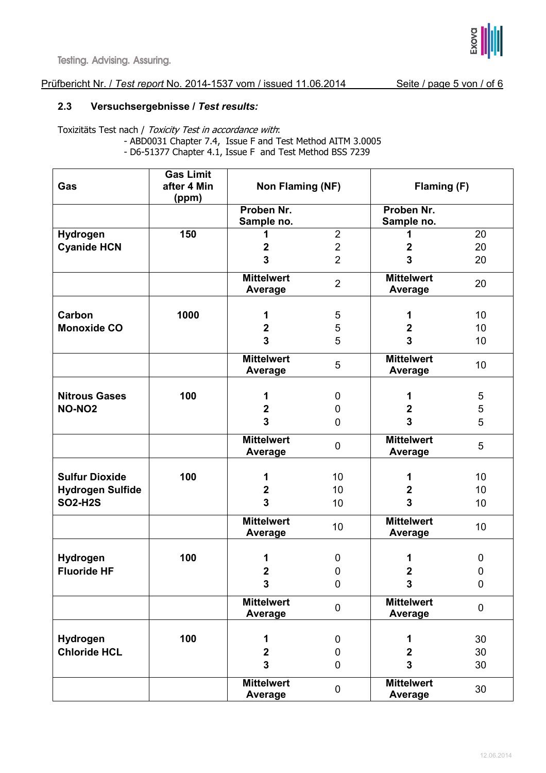

# Prüfbericht Nr. / Test report No. 2014-1537 vom / issued 11.06.2014 Seite / page 5 von / of 6

## 2.3 Versuchsergebnisse / Test results:

Toxizitäts Test nach / Toxicity Test in accordance with: - ABD0031 Chapter 7.4, Issue F and Test Method AITM 3.0005 - D6-51377 Chapter 4.1, Issue F and Test Method BSS 7239

|                         | <b>Gas Limit</b> |                         |                |                         |                  |  |
|-------------------------|------------------|-------------------------|----------------|-------------------------|------------------|--|
| Gas                     | after 4 Min      | Non Flaming (NF)        |                | Flaming (F)             |                  |  |
|                         | (ppm)            |                         |                |                         |                  |  |
|                         |                  | Proben Nr.              |                | Proben Nr.              |                  |  |
|                         |                  | Sample no.              |                | Sample no.              |                  |  |
| Hydrogen                | 150              | 1                       | $\overline{2}$ |                         | 20               |  |
| <b>Cyanide HCN</b>      |                  | $\mathbf 2$             | $\mathbf 2$    | $\mathbf{2}$            | 20               |  |
|                         |                  | 3                       | $\overline{2}$ | 3                       | 20               |  |
|                         |                  | <b>Mittelwert</b>       |                | <b>Mittelwert</b>       |                  |  |
|                         |                  | Average                 | $\overline{2}$ | <b>Average</b>          | 20               |  |
|                         |                  |                         |                |                         |                  |  |
| Carbon                  | 1000             | 1                       | 5              | 1                       | 10               |  |
| <b>Monoxide CO</b>      |                  | $\boldsymbol{2}$        | 5              | $\mathbf{2}$            | 10               |  |
|                         |                  | $\overline{3}$          | 5              | 3                       | 10               |  |
|                         |                  | <b>Mittelwert</b>       |                | <b>Mittelwert</b>       |                  |  |
|                         |                  | <b>Average</b>          | $\overline{5}$ | <b>Average</b>          | 10               |  |
|                         |                  |                         |                |                         |                  |  |
| <b>Nitrous Gases</b>    | 100              | 1                       | 0              | 1                       | 5                |  |
| <b>NO-NO2</b>           |                  | $\boldsymbol{2}$        | $\mathbf 0$    | $\mathbf{2}$            | $\,$ 5 $\,$      |  |
|                         |                  | $\overline{\mathbf{3}}$ | $\mathbf 0$    | $\overline{\mathbf{3}}$ | 5                |  |
|                         |                  | <b>Mittelwert</b>       |                | <b>Mittelwert</b>       |                  |  |
|                         |                  | Average                 | $\pmb{0}$      | <b>Average</b>          | 5                |  |
|                         |                  |                         |                |                         |                  |  |
| <b>Sulfur Dioxide</b>   | 100              | 1                       | 10             | 1                       | 10               |  |
| <b>Hydrogen Sulfide</b> |                  | $\boldsymbol{2}$        | 10             | $\mathbf{2}$            | 10               |  |
| <b>SO2-H2S</b>          |                  | 3                       | 10             | 3                       | 10               |  |
|                         |                  |                         |                |                         |                  |  |
|                         |                  | <b>Mittelwert</b>       | 10             | <b>Mittelwert</b>       | 10               |  |
|                         |                  | Average                 |                | <b>Average</b>          |                  |  |
| Hydrogen                | 100              | 1                       | 0              | 1                       | 0                |  |
| <b>Fluoride HF</b>      |                  | $\mathbf 2$             | $\mathbf 0$    | $\mathbf{2}$            | $\boldsymbol{0}$ |  |
|                         |                  |                         |                |                         |                  |  |
|                         |                  | 3                       | 0              | 3                       | 0                |  |
|                         |                  | <b>Mittelwert</b>       | $\pmb{0}$      | <b>Mittelwert</b>       | $\mathbf 0$      |  |
|                         |                  | Average                 |                | Average                 |                  |  |
|                         |                  |                         |                |                         |                  |  |
| Hydrogen                | 100              | 1                       | 0              | 1                       | 30               |  |
| <b>Chloride HCL</b>     |                  | $\boldsymbol{2}$        | 0              | $\mathbf{2}$            | 30               |  |
|                         |                  | $\overline{\mathbf{3}}$ | 0              | $\mathbf{3}$            | 30               |  |
|                         |                  | <b>Mittelwert</b>       |                | <b>Mittelwert</b>       |                  |  |
|                         |                  | <b>Average</b>          | $\pmb{0}$      | <b>Average</b>          | 30               |  |